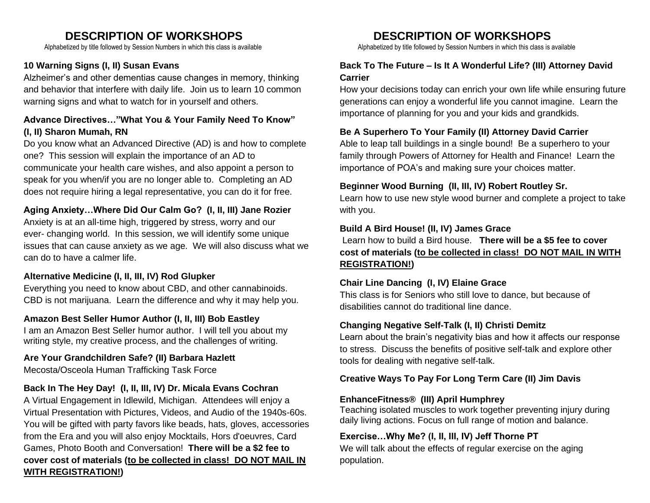# **DESCRIPTION OF WORKSHOPS DESCRIPTION OF WORKSHOPS**

# **10 Warning Signs (I, II) Susan Evans**

Alzheimer's and other dementias cause changes in memory, thinking and behavior that interfere with daily life. Join us to learn 10 common warning signs and what to watch for in yourself and others.

# **Advance Directives…"What You & Your Family Need To Know" (I, II) Sharon Mumah, RN**

Do you know what an Advanced Directive (AD) is and how to complete one? This session will explain the importance of an AD to communicate your health care wishes, and also appoint a person to speak for you when/if you are no longer able to. Completing an AD does not require hiring a legal representative, you can do it for free.

# **Aging Anxiety…Where Did Our Calm Go? (I, II, III) Jane Rozier**

Anxiety is at an all-time high, triggered by stress, worry and our ever- changing world. In this session, we will identify some unique issues that can cause anxiety as we age. We will also discuss what we can do to have a calmer life.

# **Alternative Medicine (I, II, III, IV) Rod Glupker**

Everything you need to know about CBD, and other cannabinoids. CBD is not marijuana. Learn the difference and why it may help you.

### **Amazon Best Seller Humor Author (I, II, III) Bob Eastley**

I am an Amazon Best Seller humor author. I will tell you about my writing style, my creative process, and the challenges of writing.

# **Are Your Grandchildren Safe? (II) Barbara Hazlett**

Mecosta/Osceola Human Trafficking Task Force

# **Back In The Hey Day! (I, II, III, IV) Dr. Micala Evans Cochran**

A Virtual Engagement in Idlewild, Michigan. Attendees will enjoy a Virtual Presentation with Pictures, Videos, and Audio of the 1940s-60s. You will be gifted with party favors like beads, hats, gloves, accessories from the Era and you will also enjoy Mocktails, Hors d'oeuvres, Card Games, Photo Booth and Conversation! **There will be a \$2 fee to cover cost of materials (to be collected in class! DO NOT MAIL IN WITH REGISTRATION!)**

Alphabetized by title followed by Session Numbers in which this class is available Alphabetized by title followed by Session Numbers in which this class is available

# **Back To The Future – Is It A Wonderful Life? (III) Attorney David Carrier**

How your decisions today can enrich your own life while ensuring future generations can enjoy a wonderful life you cannot imagine. Learn the importance of planning for you and your kids and grandkids.

#### **Be A Superhero To Your Family (II) Attorney David Carrier**

Able to leap tall buildings in a single bound! Be a superhero to your family through Powers of Attorney for Health and Finance! Learn the importance of POA's and making sure your choices matter.

#### **Beginner Wood Burning (II, III, IV) Robert Routley Sr.**

Learn how to use new style wood burner and complete a project to take with you.

#### **Build A Bird House! (II, IV) James Grace**

Learn how to build a Bird house. **There will be a \$5 fee to cover cost of materials (to be collected in class! DO NOT MAIL IN WITH REGISTRATION!)**

#### **Chair Line Dancing (I, IV) Elaine Grace**

This class is for Seniors who still love to dance, but because of disabilities cannot do traditional line dance.

#### **Changing Negative Self-Talk (I, II) Christi Demitz**

Learn about the brain's negativity bias and how it affects our response to stress. Discuss the benefits of positive self-talk and explore other tools for dealing with negative self-talk.

#### **Creative Ways To Pay For Long Term Care (II) Jim Davis**

#### **EnhanceFitness® (III) April Humphrey**

Teaching isolated muscles to work together preventing injury during daily living actions. Focus on full range of motion and balance.

# **Exercise…Why Me? (I, II, III, IV) Jeff Thorne PT**

We will talk about the effects of regular exercise on the aging population.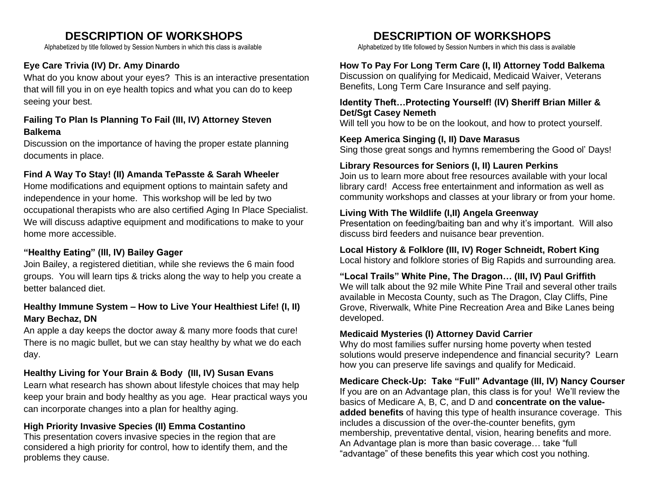# **DESCRIPTION OF WORKSHOPS DESCRIPTION OF WORKSHOPS**

# **Eye Care Trivia (IV) Dr. Amy Dinardo**

What do you know about your eyes? This is an interactive presentation that will fill you in on eye health topics and what you can do to keep seeing your best.

# **Failing To Plan Is Planning To Fail (III, IV) Attorney Steven Balkema**

Discussion on the importance of having the proper estate planning documents in place.

### **Find A Way To Stay! (II) Amanda TePasste & Sarah Wheeler**

Home modifications and equipment options to maintain safety and independence in your home. This workshop will be led by two occupational therapists who are also certified Aging In Place Specialist. We will discuss adaptive equipment and modifications to make to your home more accessible.

## **"Healthy Eating" (III, IV) Bailey Gager**

Join Bailey, a registered dietitian, while she reviews the 6 main food groups. You will learn tips & tricks along the way to help you create a better balanced diet.

# **Healthy Immune System – How to Live Your Healthiest Life! (I, II) Mary Bechaz, DN**

An apple a day keeps the doctor away & many more foods that cure! There is no magic bullet, but we can stay healthy by what we do each day.

#### **Healthy Living for Your Brain & Body (III, IV) Susan Evans**

Learn what research has shown about lifestyle choices that may help keep your brain and body healthy as you age. Hear practical ways you can incorporate changes into a plan for healthy aging.

#### **High Priority Invasive Species (II) Emma Costantino**

This presentation covers invasive species in the region that are considered a high priority for control, how to identify them, and the problems they cause.

Alphabetized by title followed by Session Numbers in which this class is available Alphabetized by title followed by Session Numbers in which this class is available

#### **How To Pay For Long Term Care (I, II) Attorney Todd Balkema**

Discussion on qualifying for Medicaid, Medicaid Waiver, Veterans Benefits, Long Term Care Insurance and self paying.

#### **Identity Theft…Protecting Yourself! (IV) Sheriff Brian Miller & Det/Sgt Casey Nemeth**

Will tell you how to be on the lookout, and how to protect yourself.

#### **Keep America Singing (I, II) Dave Marasus**

Sing those great songs and hymns remembering the Good ol' Days!

### **Library Resources for Seniors (I, II) Lauren Perkins**

Join us to learn more about free resources available with your local library card! Access free entertainment and information as well as community workshops and classes at your library or from your home.

#### **Living With The Wildlife (I,II) Angela Greenway**

Presentation on feeding/baiting ban and why it's important. Will also discuss bird feeders and nuisance bear prevention.

**Local History & Folklore (III, IV) Roger Schneidt, Robert King** Local history and folklore stories of Big Rapids and surrounding area.

**"Local Trails" White Pine, The Dragon… (III, IV) Paul Griffith**

We will talk about the 92 mile White Pine Trail and several other trails available in Mecosta County, such as The Dragon, Clay Cliffs, Pine Grove, Riverwalk, White Pine Recreation Area and Bike Lanes being developed.

#### **Medicaid Mysteries (I) Attorney David Carrier**

Why do most families suffer nursing home poverty when tested solutions would preserve independence and financial security? Learn how you can preserve life savings and qualify for Medicaid.

**Medicare Check-Up: Take "Full" Advantage (III, IV) Nancy Courser** If you are on an Advantage plan, this class is for you! We'll review the basics of Medicare A, B, C, and D and **concentrate on the valueadded benefits** of having this type of health insurance coverage. This includes a discussion of the over-the-counter benefits, gym membership, preventative dental, vision, hearing benefits and more. An Advantage plan is more than basic coverage… take "full "advantage" of these benefits this year which cost you nothing.